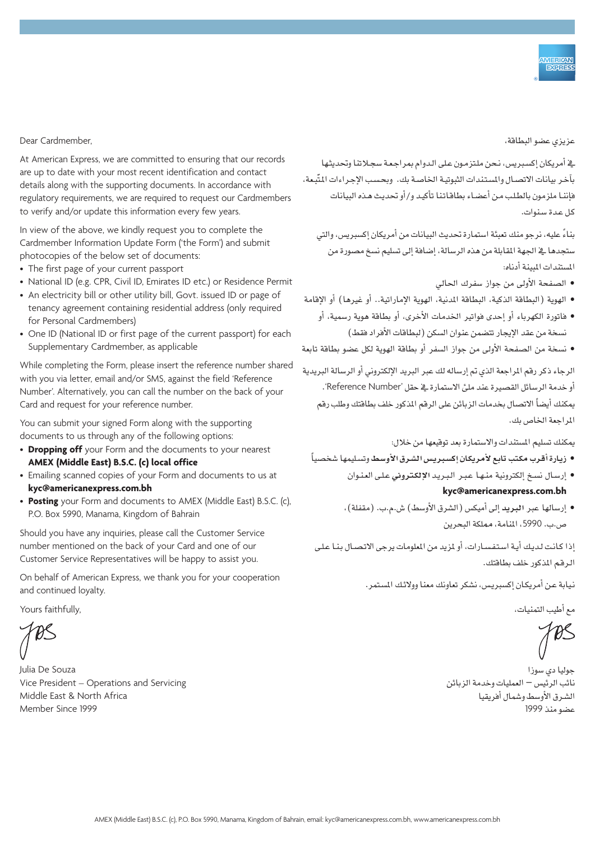Dear Cardmember.

At American Express, we are committed to ensuring that our records are up to date with your most recent identification and contact details along with the supporting documents. In accordance with regulatory requirements, we are required to request our Cardmembers to verify and/or update this information every few years.

In view of the above, we kindly request you to complete the Cardmember Information Update Form ('the Form') and submit photocopies of the below set of documents:

- The first page of your current passport
- National ID (e.g. CPR, Civil ID, Emirates ID etc.) or Residence Permit
- An electricity bill or other utility bill, Govt. issued ID or page of tenancy agreement containing residential address (only required for Personal Cardmembers)
- One ID (National ID or first page of the current passport) for each Supplementary Cardmember, as applicable

While completing the Form, please insert the reference number shared with you via letter, email and/or SMS, against the field 'Reference Number'. Alternatively, you can call the number on the back of your Card and request for your reference number.

You can submit your signed Form along with the supporting documents to us through any of the following options:

- **Dropping off** your Form and the documents to your nearest AMEX (Middle East) B.S.C. (c) local office
- Emailing scanned copies of your Form and documents to us at  $kvc@americanexpress.com.bh$
- Posting your Form and documents to AMEX (Middle East) B.S.C. (c), P.O. Box 5990, Manama, Kingdom of Bahrain

Should you have any inquiries, please call the Customer Service number mentioned on the back of your Card and one of our Customer Service Representatives will be happy to assist you.

On behalf of American Express, we thank you for your cooperation and continued loyalty.

Yours faithfully.

Julia De Souza Vice President – Operations and Servicing Middle East & North Africa Member Since 1999

عزيزي عضو البطاقة،

يف أمريكان إكسيريس، نـحن ملـتزمـون عـلى الـدوام بمر اجـعـة سجـلاتنا وتحديثها بآخر بيانات الاتصـال والمستندات الثبوتيـة الخاصـة بك. وبحـسب الإجـراءات المتَّبـعة، فإننـا ملزمون بالطـلـب مـن أع�ضـاء بطاقـاتـنا تأكيـد و/أو حتديـث هـذه البيانات كـل عـدة �سـنوات.

بناءً عليه، نرجو منك تعبئة استمارة تحديث البيانات من أمريكان إكسبريس، والتي ستجدها يخ الجهة المقابلة من هذه الرسالة، إضافة إلى تسليم نسخ مصورة من المستندات المبينة أدناه:

- • ال�صفحة الأوىل من جواز �سفرك احلايل
- الهوية (البطاقة الذكية، البطاقة المدنية، الهوية الإماراتية.. أو غيرها) أو الإقامة
	- • فاتورة الكهرباء أو إحدى فواتري اخلدمات الأخرى، أو بطاقة هوية ر�سمية، أو نسخة من عقد الإيجار تتضمن عنوان السكن (لبطاقات الأفراد فقط)
- • ن�سخة من ال�صفحة الأوىل من جواز ال�سفر أو بطاقة الهوية لكل ع�ضو بطاقة تابعة

الرجاء ذكر رقم المراجعة الذي تم إرساله لك عبر البربير الإلكتروني أو الرسالة البربيدية أو خدمة الرسائل القصيرة عند مليٍّ الاستمارة في خقل 'Reference Number'. يمكنك أيضاً الاتصال بخدمات الزبائن على الرقم المذكور خلف بطاقتك وطلب رقم المراجعة الخاص بك.

يمكنك تسليم المستندات والاستمارة بعد توقيعها من خلال:

- • **زيـارة أقـرب مكـتب تابع لأمريكـان إك�سـربيـ�س ال�سـرق الأو�سـط** وت�سـليمها �شخ�صياً
	- • إر�سـال ن�سـخ إلكرتونية منـهـا عـبـر الـبـريـد **الإلكـرتوين** عـلـى العـنـوان kyc@americanexpress.com.bh
	- إرسالها عبر ال**بري**د إلى أميكس (الشرق الأوسط) ش.م.ب. (مقفلة)، �ص.ب. ،5990 املنامة، مملكة البحرين

إذا كـانـت لـديـك أيـة ا�سـتـفـ�سـارات، أو ملزيد من املعلومات يرجى االتـ�صـال بـنـا عـلـى الـرقـم املذكور خلف بطاقتك.

نيابة عـن أمريكـان إكسبريس، نشكر تعاونك معنا وولائك المستمر.

مع أطيب التمنيات،

جوليا دي �سوزا نائب الرئي�س – العمليات وخدمة الزبائن ال�شـرق الأو�سط و�شمال أفريقيا ع�ضو منذ 1999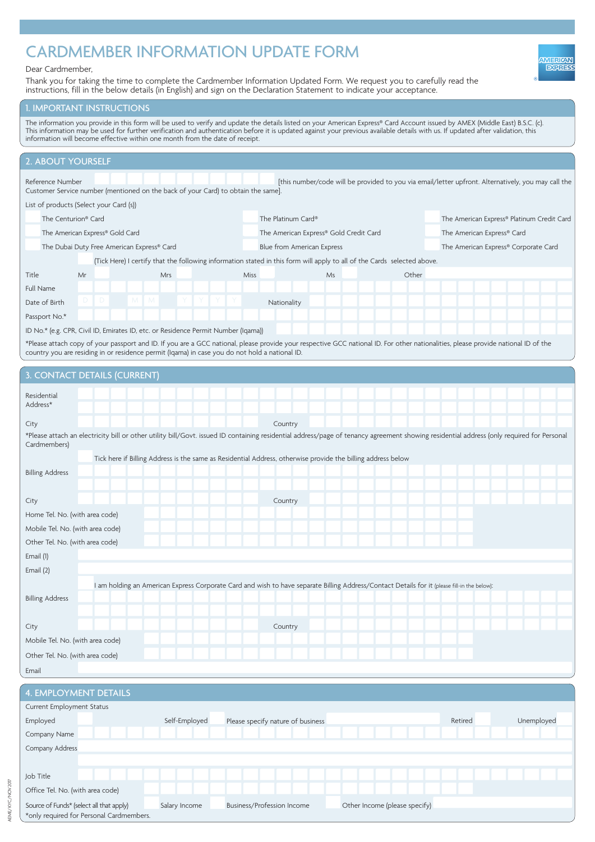## CARDMEMBER INFORMATION UPDATE FORM

## Dear Cardmember,

Thank you for taking the time to complete the Cardmember Information Updated Form. We request you to carefully read the instructions, fill in the below details (in English) and sign on the Declaration Statement to indicate your acceptance.

## **I. IMPORTANT INSTRUCTIONS**

The information you provide in this form will be used to verify and update the details listed on your American Express® Card Account issued by AMEX (Middle East) B.S.C. (c). This information may be used for further verification and authentication before it is updated against your previous available details with us. If updated after validation, this information will become effective within one month from the date of receipt.

| 2. ABOUT YOURSELF                                                                                                                                                                                            |                                                                                                                                              |                                                                                                              |                            |                                        |       |                                                                                                                                                                                           |  |
|--------------------------------------------------------------------------------------------------------------------------------------------------------------------------------------------------------------|----------------------------------------------------------------------------------------------------------------------------------------------|--------------------------------------------------------------------------------------------------------------|----------------------------|----------------------------------------|-------|-------------------------------------------------------------------------------------------------------------------------------------------------------------------------------------------|--|
| [this number/code will be provided to you via email/letter upfront. Alternatively, you may call the<br>Reference Number<br>Customer Service number (mentioned on the back of your Card) to obtain the same]. |                                                                                                                                              |                                                                                                              |                            |                                        |       |                                                                                                                                                                                           |  |
|                                                                                                                                                                                                              | List of products (Select your Card (s))                                                                                                      |                                                                                                              |                            |                                        |       |                                                                                                                                                                                           |  |
|                                                                                                                                                                                                              | The Centurion® Card                                                                                                                          |                                                                                                              | The Platinum Card®         |                                        |       | The American Express® Platinum Credit Card                                                                                                                                                |  |
|                                                                                                                                                                                                              | The American Express® Gold Card                                                                                                              |                                                                                                              |                            | The American Express® Gold Credit Card |       | The American Express® Card                                                                                                                                                                |  |
|                                                                                                                                                                                                              |                                                                                                                                              | The Dubai Duty Free American Express® Card                                                                   | Blue from American Express |                                        |       | The American Express® Corporate Card                                                                                                                                                      |  |
| (Tick Here) I certify that the following information stated in this form will apply to all of the Cards selected above.                                                                                      |                                                                                                                                              |                                                                                                              |                            |                                        |       |                                                                                                                                                                                           |  |
| Title                                                                                                                                                                                                        | Mr                                                                                                                                           | Mrs                                                                                                          | Miss                       | Ms                                     | Other |                                                                                                                                                                                           |  |
| Full Name                                                                                                                                                                                                    |                                                                                                                                              |                                                                                                              |                            |                                        |       |                                                                                                                                                                                           |  |
| Date of Birth                                                                                                                                                                                                | D                                                                                                                                            | M<br>M                                                                                                       | Nationality                |                                        |       |                                                                                                                                                                                           |  |
| Passport No.*                                                                                                                                                                                                |                                                                                                                                              |                                                                                                              |                            |                                        |       |                                                                                                                                                                                           |  |
|                                                                                                                                                                                                              |                                                                                                                                              | ID No.* (e.g. CPR, Civil ID, Emirates ID, etc. or Residence Permit Number (Iqama))                           |                            |                                        |       |                                                                                                                                                                                           |  |
|                                                                                                                                                                                                              |                                                                                                                                              |                                                                                                              |                            |                                        |       | *Please attach copy of your passport and ID. If you are a GCC national, please provide your respective GCC national ID. For other nationalities, please provide national ID of the        |  |
|                                                                                                                                                                                                              |                                                                                                                                              | country you are residing in or residence permit (Iqama) in case you do not hold a national ID.               |                            |                                        |       |                                                                                                                                                                                           |  |
|                                                                                                                                                                                                              | 3. CONTACT DETAILS (CURRENT)                                                                                                                 |                                                                                                              |                            |                                        |       |                                                                                                                                                                                           |  |
| Residential                                                                                                                                                                                                  |                                                                                                                                              |                                                                                                              |                            |                                        |       |                                                                                                                                                                                           |  |
| Address*                                                                                                                                                                                                     |                                                                                                                                              |                                                                                                              |                            |                                        |       |                                                                                                                                                                                           |  |
| City                                                                                                                                                                                                         |                                                                                                                                              |                                                                                                              | Country                    |                                        |       |                                                                                                                                                                                           |  |
| Cardmembers)                                                                                                                                                                                                 |                                                                                                                                              |                                                                                                              |                            |                                        |       | *Please attach an electricity bill or other utility bill/Govt. issued ID containing residential address/page of tenancy agreement showing residential address (only required for Personal |  |
|                                                                                                                                                                                                              |                                                                                                                                              | Tick here if Billing Address is the same as Residential Address, otherwise provide the billing address below |                            |                                        |       |                                                                                                                                                                                           |  |
| <b>Billing Address</b>                                                                                                                                                                                       |                                                                                                                                              |                                                                                                              |                            |                                        |       |                                                                                                                                                                                           |  |
|                                                                                                                                                                                                              |                                                                                                                                              |                                                                                                              |                            |                                        |       |                                                                                                                                                                                           |  |
| City                                                                                                                                                                                                         |                                                                                                                                              |                                                                                                              | Country                    |                                        |       |                                                                                                                                                                                           |  |
| Home Tel. No. (with area code)                                                                                                                                                                               |                                                                                                                                              |                                                                                                              |                            |                                        |       |                                                                                                                                                                                           |  |
|                                                                                                                                                                                                              | Mobile Tel. No. (with area code)                                                                                                             |                                                                                                              |                            |                                        |       |                                                                                                                                                                                           |  |
|                                                                                                                                                                                                              |                                                                                                                                              |                                                                                                              |                            |                                        |       |                                                                                                                                                                                           |  |
|                                                                                                                                                                                                              | Other Tel. No. (with area code)                                                                                                              |                                                                                                              |                            |                                        |       |                                                                                                                                                                                           |  |
| Email (1)                                                                                                                                                                                                    |                                                                                                                                              |                                                                                                              |                            |                                        |       |                                                                                                                                                                                           |  |
| Email (2)                                                                                                                                                                                                    |                                                                                                                                              |                                                                                                              |                            |                                        |       |                                                                                                                                                                                           |  |
|                                                                                                                                                                                                              | I am holding an American Express Corporate Card and wish to have separate Billing Address/Contact Details for it (please fill-in the below): |                                                                                                              |                            |                                        |       |                                                                                                                                                                                           |  |
| <b>Billing Address</b>                                                                                                                                                                                       |                                                                                                                                              |                                                                                                              |                            |                                        |       |                                                                                                                                                                                           |  |
|                                                                                                                                                                                                              |                                                                                                                                              |                                                                                                              |                            |                                        |       |                                                                                                                                                                                           |  |
| City                                                                                                                                                                                                         |                                                                                                                                              |                                                                                                              | Country                    |                                        |       |                                                                                                                                                                                           |  |
| Mobile Tel. No. (with area code)                                                                                                                                                                             |                                                                                                                                              |                                                                                                              |                            |                                        |       |                                                                                                                                                                                           |  |
| Other Tel. No. (with area code)                                                                                                                                                                              |                                                                                                                                              |                                                                                                              |                            |                                        |       |                                                                                                                                                                                           |  |
| Email                                                                                                                                                                                                        |                                                                                                                                              |                                                                                                              |                            |                                        |       |                                                                                                                                                                                           |  |
|                                                                                                                                                                                                              |                                                                                                                                              |                                                                                                              |                            |                                        |       |                                                                                                                                                                                           |  |
| <b>4. EMPLOYMENT DETAILS</b>                                                                                                                                                                                 |                                                                                                                                              |                                                                                                              |                            |                                        |       |                                                                                                                                                                                           |  |
|                                                                                                                                                                                                              | Current Employment Status                                                                                                                    |                                                                                                              |                            |                                        |       |                                                                                                                                                                                           |  |

| Current Employment Status                |               |                                   |                               |         |            |  |  |
|------------------------------------------|---------------|-----------------------------------|-------------------------------|---------|------------|--|--|
| Employed                                 | Self-Employed | Please specify nature of business |                               | Retired | Unemployed |  |  |
| Company Name                             |               |                                   |                               |         |            |  |  |
| Company Address                          |               |                                   |                               |         |            |  |  |
|                                          |               |                                   |                               |         |            |  |  |
| Job Title                                |               |                                   |                               |         |            |  |  |
| Office Tel. No. (with area code)         |               |                                   |                               |         |            |  |  |
| Source of Funds* (select all that apply) | Salary Income | <b>Business/Profession Income</b> | Other Income (please specify) |         |            |  |  |
| *only required for Personal Cardmembers. |               |                                   |                               |         |            |  |  |